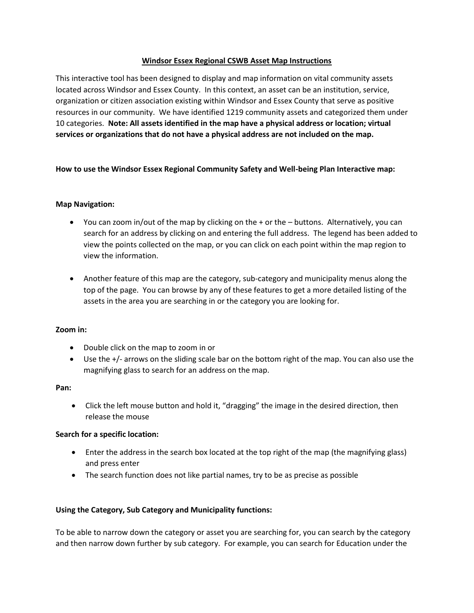### **Windsor Essex Regional CSWB Asset Map Instructions**

This interactive tool has been designed to display and map information on vital community assets located across Windsor and Essex County. In this context, an asset can be an institution, service, organization or citizen association existing within Windsor and Essex County that serve as positive resources in our community. We have identified 1219 community assets and categorized them under 10 categories. **Note: All assets identified in the map have a physical address or location; virtual services or organizations that do not have a physical address are not included on the map.** 

# **How to use the Windsor Essex Regional Community Safety and Well-being Plan Interactive map:**

# **Map Navigation:**

- You can zoom in/out of the map by clicking on the + or the buttons. Alternatively, you can search for an address by clicking on and entering the full address. The legend has been added to view the points collected on the map, or you can click on each point within the map region to view the information.
- Another feature of this map are the category, sub-category and municipality menus along the top of the page. You can browse by any of these features to get a more detailed listing of the assets in the area you are searching in or the category you are looking for.

### **Zoom in:**

- Double click on the map to zoom in or
- Use the +/- arrows on the sliding scale bar on the bottom right of the map. You can also use the magnifying glass to search for an address on the map.

### **Pan:**

 Click the left mouse button and hold it, "dragging" the image in the desired direction, then release the mouse

### **Search for a specific location:**

- Enter the address in the search box located at the top right of the map (the magnifying glass) and press enter
- The search function does not like partial names, try to be as precise as possible

### **Using the Category, Sub Category and Municipality functions:**

To be able to narrow down the category or asset you are searching for, you can search by the category and then narrow down further by sub category. For example, you can search for Education under the